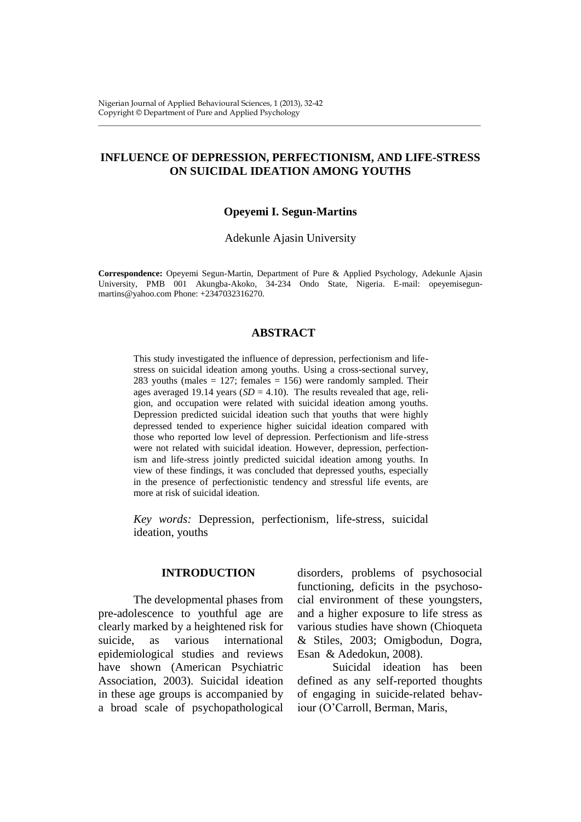# **INFLUENCE OF DEPRESSION, PERFECTIONISM, AND LIFE-STRESS ON SUICIDAL IDEATION AMONG YOUTHS**

\_\_\_\_\_\_\_\_\_\_\_\_\_\_\_\_\_\_\_\_\_\_\_\_\_\_\_\_\_\_\_\_\_\_\_\_\_\_\_\_\_\_\_\_\_\_\_\_\_\_\_\_\_\_\_\_\_\_\_\_\_\_\_\_\_\_\_\_\_\_\_\_\_\_\_\_\_\_\_\_\_\_\_\_\_\_\_\_\_\_\_\_\_\_\_\_\_\_

# **Opeyemi I. Segun-Martins**

Adekunle Ajasin University

**Correspondence:** Opeyemi Segun-Martin, Department of Pure & Applied Psychology, Adekunle Ajasin University, PMB 001 Akungba-Akoko, 34-234 Ondo State, Nigeria. E-mail: [opeyemisegun](mailto:opeyemisegunmartins@yahoo.com)[martins@yahoo.com](mailto:opeyemisegunmartins@yahoo.com) Phone: +2347032316270.

# **ABSTRACT**

This study investigated the influence of depression, perfectionism and lifestress on suicidal ideation among youths. Using a cross-sectional survey, 283 youths (males  $= 127$ ; females  $= 156$ ) were randomly sampled. Their ages averaged 19.14 years  $(SD = 4.10)$ . The results revealed that age, religion, and occupation were related with suicidal ideation among youths. Depression predicted suicidal ideation such that youths that were highly depressed tended to experience higher suicidal ideation compared with those who reported low level of depression. Perfectionism and life-stress were not related with suicidal ideation. However, depression, perfectionism and life-stress jointly predicted suicidal ideation among youths. In view of these findings, it was concluded that depressed youths, especially in the presence of perfectionistic tendency and stressful life events, are more at risk of suicidal ideation.

*Key words:* Depression, perfectionism, life-stress, suicidal ideation, youths

# **INTRODUCTION**

The developmental phases from pre-adolescence to youthful age are clearly marked by a heightened risk for suicide, as various international epidemiological studies and reviews have shown (American Psychiatric Association, 2003). Suicidal ideation in these age groups is accompanied by a broad scale of psychopathological

disorders, problems of psychosocial functioning, deficits in the psychosocial environment of these youngsters, and a higher exposure to life stress as various studies have shown (Chioqueta & Stiles, 2003; Omigbodun, Dogra, Esan & Adedokun, 2008).

Suicidal ideation has been defined as any self-reported thoughts of engaging in suicide-related behaviour (O'Carroll, Berman, Maris,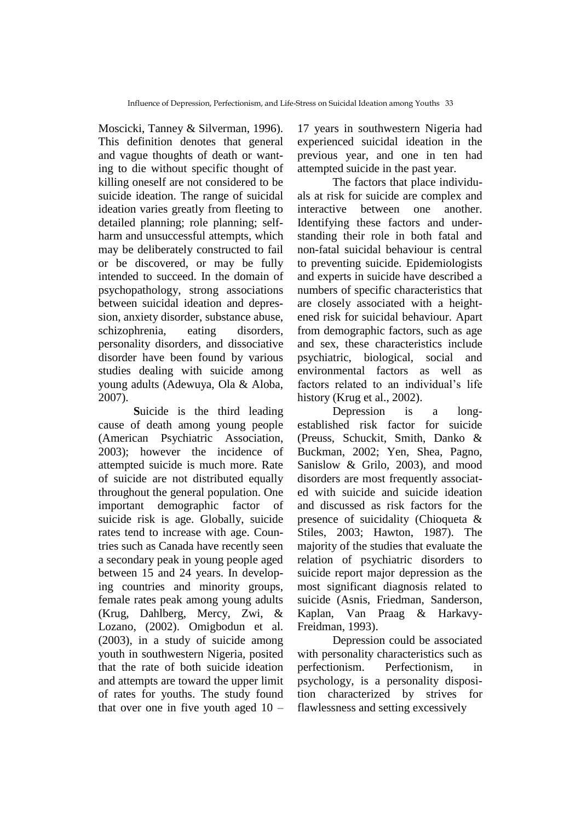Moscicki, Tanney & Silverman, 1996). This definition denotes that general and vague thoughts of death or wanting to die without specific thought of killing oneself are not considered to be suicide ideation. The range of suicidal ideation varies greatly from fleeting to detailed planning; role planning; selfharm and unsuccessful attempts, which may be deliberately constructed to fail or be discovered, or may be fully intended to succeed. In the domain of psychopathology, strong associations between suicidal ideation and depression, anxiety disorder, substance abuse, schizophrenia, eating disorders, personality disorders, and dissociative disorder have been found by various studies dealing with suicide among young adults (Adewuya, Ola & Aloba, 2007).

**S**uicide is the third leading cause of death among young people (American Psychiatric Association, 2003); however the incidence of attempted suicide is much more. Rate of suicide are not distributed equally throughout the general population. One important demographic factor of suicide risk is age. Globally, suicide rates tend to increase with age. Countries such as Canada have recently seen a secondary peak in young people aged between 15 and 24 years. In developing countries and minority groups, female rates peak among young adults (Krug, Dahlberg, Mercy, Zwi, & Lozano, (2002). Omigbodun et al. (2003), in a study of suicide among youth in southwestern Nigeria, posited that the rate of both suicide ideation and attempts are toward the upper limit of rates for youths. The study found that over one in five youth aged  $10 -$ 

17 years in southwestern Nigeria had experienced suicidal ideation in the previous year, and one in ten had attempted suicide in the past year.

The factors that place individuals at risk for suicide are complex and interactive between one another. Identifying these factors and understanding their role in both fatal and non-fatal suicidal behaviour is central to preventing suicide. Epidemiologists and experts in suicide have described a numbers of specific characteristics that are closely associated with a heightened risk for suicidal behaviour. Apart from demographic factors, such as age and sex, these characteristics include psychiatric, biological, social and environmental factors as well as factors related to an individual's life history (Krug et al., 2002).

Depression is a longestablished risk factor for suicide (Preuss, Schuckit, Smith, Danko & Buckman, 2002; Yen, Shea, Pagno, Sanislow & Grilo, 2003), and mood disorders are most frequently associated with suicide and suicide ideation and discussed as risk factors for the presence of suicidality (Chioqueta & Stiles, 2003; Hawton, 1987). The majority of the studies that evaluate the relation of psychiatric disorders to suicide report major depression as the most significant diagnosis related to suicide (Asnis, Friedman, Sanderson, Kaplan, Van Praag & Harkavy-Freidman, 1993).

Depression could be associated with personality characteristics such as perfectionism. Perfectionism, in psychology, is a personality disposition characterized by strives for flawlessness and setting excessively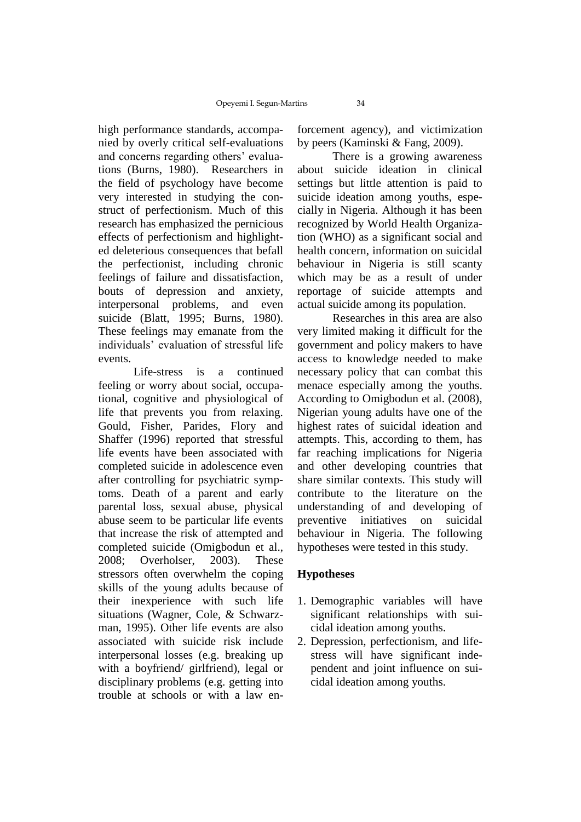high performance standards, accompanied by overly critical self-evaluations and concerns regarding others' evaluations (Burns, 1980). Researchers in the field of psychology have become very interested in studying the construct of perfectionism. Much of this research has emphasized the pernicious effects of perfectionism and highlighted deleterious consequences that befall the perfectionist, including chronic feelings of failure and dissatisfaction, bouts of depression and anxiety, interpersonal problems, and even suicide (Blatt, 1995; Burns, 1980). These feelings may emanate from the individuals' evaluation of stressful life events.

Life-stress is a continued feeling or worry about social, occupational, cognitive and physiological of life that prevents you from relaxing. Gould, Fisher, Parides, Flory and Shaffer (1996) reported that stressful life events have been associated with completed suicide in adolescence even after controlling for psychiatric symptoms. Death of a parent and early parental loss, sexual abuse, physical abuse seem to be particular life events that increase the risk of attempted and completed suicide (Omigbodun et al., 2008; Overholser, 2003). These stressors often overwhelm the coping skills of the young adults because of their inexperience with such life situations (Wagner, Cole, & Schwarzman, 1995). Other life events are also associated with suicide risk include interpersonal losses (e.g. breaking up with a boyfriend/ girlfriend), legal or disciplinary problems (e.g. getting into trouble at schools or with a law enforcement agency), and victimization by peers (Kaminski & Fang, 2009).

There is a growing awareness about suicide ideation in clinical settings but little attention is paid to suicide ideation among youths, especially in Nigeria. Although it has been recognized by World Health Organization (WHO) as a significant social and health concern, information on suicidal behaviour in Nigeria is still scanty which may be as a result of under reportage of suicide attempts and actual suicide among its population.

Researches in this area are also very limited making it difficult for the government and policy makers to have access to knowledge needed to make necessary policy that can combat this menace especially among the youths. According to Omigbodun et al. (2008), Nigerian young adults have one of the highest rates of suicidal ideation and attempts. This, according to them, has far reaching implications for Nigeria and other developing countries that share similar contexts. This study will contribute to the literature on the understanding of and developing of preventive initiatives on suicidal behaviour in Nigeria. The following hypotheses were tested in this study.

# **Hypotheses**

- 1. Demographic variables will have significant relationships with suicidal ideation among youths.
- 2. Depression, perfectionism, and lifestress will have significant independent and joint influence on suicidal ideation among youths.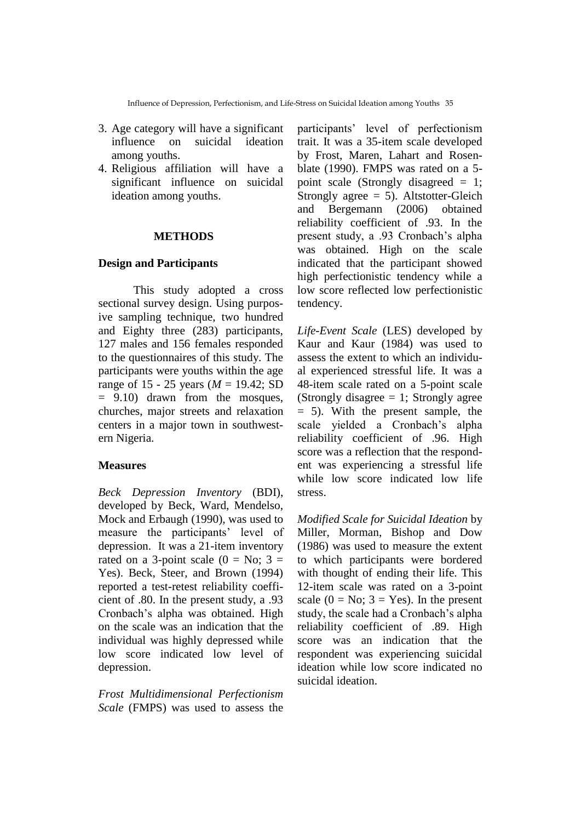- 3. Age category will have a significant influence on suicidal ideation among youths.
- 4. Religious affiliation will have a significant influence on suicidal ideation among youths.

# **METHODS**

# **Design and Participants**

This study adopted a cross sectional survey design. Using purposive sampling technique, two hundred and Eighty three (283) participants, 127 males and 156 females responded to the questionnaires of this study. The participants were youths within the age range of 15 - 25 years (*M* = 19.42; SD = 9.10) drawn from the mosques, churches, major streets and relaxation centers in a major town in southwestern Nigeria.

#### **Measures**

*Beck Depression Inventory* (BDI), developed by Beck, Ward, Mendelso, Mock and Erbaugh (1990), was used to measure the participants' level of depression. It was a 21-item inventory rated on a 3-point scale  $(0 = No; 3 =$ Yes). Beck, Steer, and Brown (1994) reported a test-retest reliability coefficient of .80. In the present study, a .93 Cronbach's alpha was obtained. High on the scale was an indication that the individual was highly depressed while low score indicated low level of depression.

*Frost Multidimensional Perfectionism Scale* (FMPS) was used to assess the

participants' level of perfectionism trait. It was a 35-item scale developed by Frost, Maren, Lahart and Rosenblate (1990). FMPS was rated on a 5 point scale (Strongly disagreed = 1; Strongly agree  $= 5$ ). Altstotter-Gleich and Bergemann (2006) obtained reliability coefficient of .93. In the present study, a .93 Cronbach's alpha was obtained. High on the scale indicated that the participant showed high perfectionistic tendency while a low score reflected low perfectionistic tendency.

*Life-Event Scale* (LES) developed by Kaur and Kaur (1984) was used to assess the extent to which an individual experienced stressful life. It was a 48-item scale rated on a 5-point scale (Strongly disagree  $= 1$ ; Strongly agree = 5). With the present sample, the scale yielded a Cronbach's alpha reliability coefficient of .96. High score was a reflection that the respondent was experiencing a stressful life while low score indicated low life stress.

*Modified Scale for Suicidal Ideation* by Miller, Morman, Bishop and Dow (1986) was used to measure the extent to which participants were bordered with thought of ending their life. This 12-item scale was rated on a 3-point scale  $(0 = No; 3 = Yes)$ . In the present study, the scale had a Cronbach's alpha reliability coefficient of .89. High score was an indication that the respondent was experiencing suicidal ideation while low score indicated no suicidal ideation.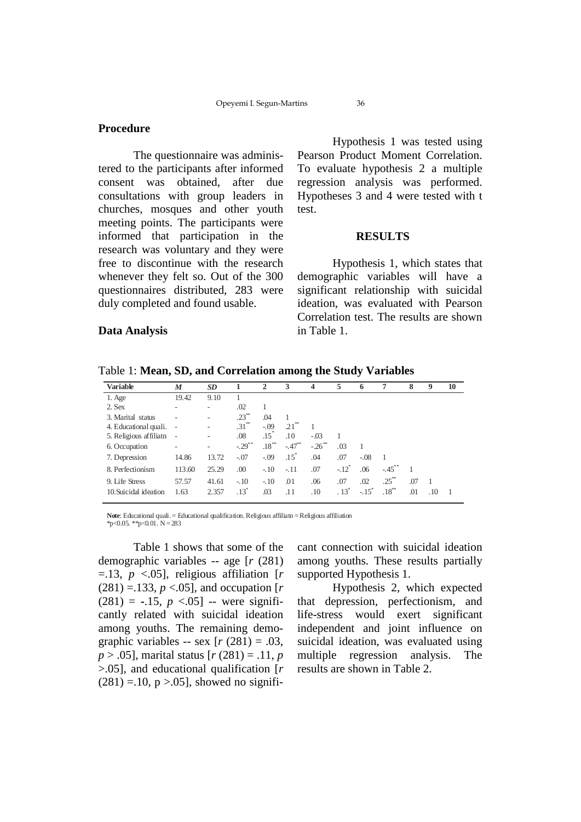# **Procedure**

The questionnaire was administered to the participants after informed consent was obtained, after due consultations with group leaders in churches, mosques and other youth meeting points. The participants were informed that participation in the research was voluntary and they were free to discontinue with the research whenever they felt so. Out of the 300 questionnaires distributed, 283 were duly completed and found usable.

Hypothesis 1 was tested using Pearson Product Moment Correlation. To evaluate hypothesis 2 a multiple regression analysis was performed. Hypotheses 3 and 4 were tested with t test.

#### **RESULTS**

Hypothesis 1, which states that demographic variables will have a significant relationship with suicidal ideation, was evaluated with Pearson Correlation test. The results are shown in Table 1.

#### **Data Analysis**

| <b>Variable</b>        | $\boldsymbol{M}$             | <b>SD</b> |                      | $\mathbf{2}$     | 3         | $\overline{\mathbf{4}}$ | 5                   | 6                   | 7          | 8   | 9   | 10 |
|------------------------|------------------------------|-----------|----------------------|------------------|-----------|-------------------------|---------------------|---------------------|------------|-----|-----|----|
| 1. Age                 | 19.42                        | 9.10      |                      |                  |           |                         |                     |                     |            |     |     |    |
| 2. Sex                 | ٠                            | -         | .02                  | 1                |           |                         |                     |                     |            |     |     |    |
| 3. Marital status      |                              |           | $.23***$             | .04              |           |                         |                     |                     |            |     |     |    |
| 4. Educational quali.  | ٠                            | ۰         | $.31***$             | $-.09$           | $21^{**}$ |                         |                     |                     |            |     |     |    |
| 5. Religious affiliath | $\qquad \qquad \blacksquare$ | ۰         | .08                  | .15 <sup>′</sup> | .10       | $-.03$                  |                     |                     |            |     |     |    |
| 6. Occupation          | ٠                            | -         | $-.29$ <sup>**</sup> | $.18***$         | $-.47***$ | $-26$ <sup>**</sup>     | .03                 |                     |            |     |     |    |
| 7. Depression          | 14.86                        | 13.72     | $-.07$               | $-.09$           | $.15^*$   | .04                     | .07                 | $-.08$              |            |     |     |    |
| 8. Perfectionism       | 113.60                       | 25.29     | .00                  | $-.10$           | $-.11$    | .07                     | $-.12$ <sup>*</sup> | .06                 | $-.45$     |     |     |    |
| 9. Life Stress         | 57.57                        | 41.61     | $-.10$               | $-.10$           | .01       | .06                     | .07                 | .02                 | $.25^{**}$ | .07 |     |    |
| 10. Suicidal ideation  | 1.63                         | 2.357     | $.13*$               | .03              | .11       | .10                     | $.13*$              | $-.15$ <sup>*</sup> | $.18***$   | .01 | .10 |    |

**Note**: Educational quali. = Educational qualification.Religious affiliatn =Religious affiliation  $*_{p<0.05}$ .  $*_{p<0.01}$ . N = 283

Table 1 shows that some of the demographic variables -- age [*r* (281)  $=$ .13, *p* <.05], religious affiliation [*r*  $(281) = 133, p < 0.05$ ], and occupation [*r*  $(281) = -.15, p < .05$ ] -- were significantly related with suicidal ideation among youths. The remaining demographic variables -- sex  $[r (281) = .03]$ , *p* > .05], marital status [*r* (281) = .11, *p*  >.05], and educational qualification [*r*   $(281) = .10$ , p > .05], showed no significant connection with suicidal ideation among youths. These results partially supported Hypothesis 1.

Hypothesis 2, which expected that depression, perfectionism, and life-stress would exert significant independent and joint influence on suicidal ideation, was evaluated using multiple regression analysis. The results are shown in Table 2.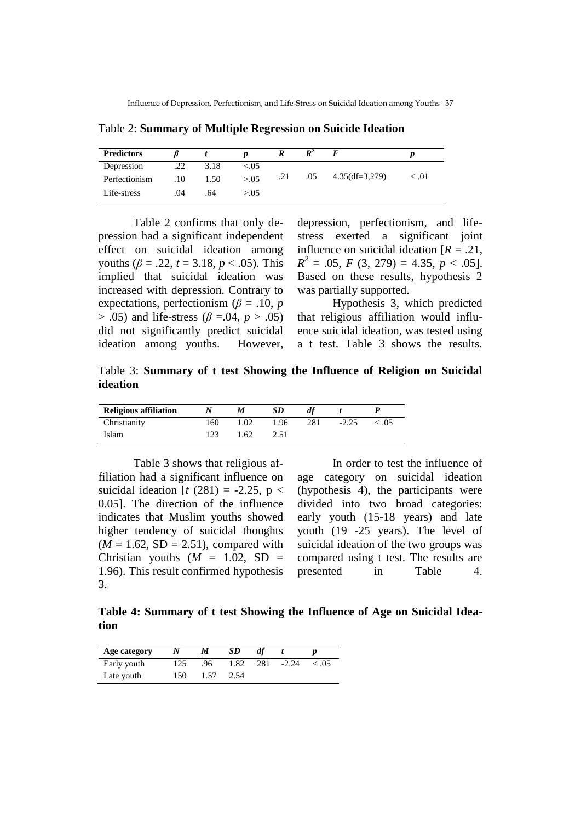**Predictors** *β**t* **<b>***p R*  $R^2$ 2  $F$  *p* Depression .22 3.18 <.05 Perfectionism .10 1.50  $> 0.05$  .21 .05 4.35(df=3,279)  $< 0.01$ Life-stress .04 .64  $> 0.05$ 

Table 2: **Summary of Multiple Regression on Suicide Ideation**

Table 2 confirms that only depression had a significant independent effect on suicidal ideation among youths ( $\beta = .22$ ,  $t = 3.18$ ,  $p < .05$ ). This implied that suicidal ideation was increased with depression. Contrary to expectations, perfectionism ( $\beta$  = .10, *p* > .05) and life-stress (*β* =.04, *p* > .05) did not significantly predict suicidal ideation among youths. However,

depression, perfectionism, and lifestress exerted a significant joint influence on suicidal ideation [*R* = .21,  $R^2 = .05$ , *F* (3, 279) = 4.35, *p* < .05]. Based on these results, hypothesis 2 was partially supported.

Hypothesis 3, which predicted that religious affiliation would influence suicidal ideation, was tested using a t test. Table 3 shows the results.

Table 3: **Summary of t test Showing the Influence of Religion on Suicidal ideation**

| <b>Religious affiliation</b> |     | M    | SD   | df  |         |        |
|------------------------------|-----|------|------|-----|---------|--------|
| Christianity                 | 160 | 1.02 | 1.96 | 281 | $-2.25$ | < 0.05 |
| Islam                        | 123 | .62  | 2.51 |     |         |        |

Table 3 shows that religious affiliation had a significant influence on suicidal ideation  $[t (281) = -2.25, p <$ 0.05]. The direction of the influence indicates that Muslim youths showed higher tendency of suicidal thoughts  $(M = 1.62, SD = 2.51)$ , compared with Christian youths  $(M = 1.02, SD =$ 1.96). This result confirmed hypothesis 3.

In order to test the influence of age category on suicidal ideation (hypothesis 4), the participants were divided into two broad categories: early youth (15-18 years) and late youth (19 -25 years). The level of suicidal ideation of the two groups was compared using t test. The results are presented in Table 4.

**Table 4: Summary of t test Showing the Influence of Age on Suicidal Ideation**

| Age category |     | M    | <i>SD</i> | df  |         |       |
|--------------|-----|------|-----------|-----|---------|-------|
| Early youth  | 125 | .96  | 1.82      | 281 | $-2.24$ | < .05 |
| Late youth   | 150 | 1.57 | 2.54      |     |         |       |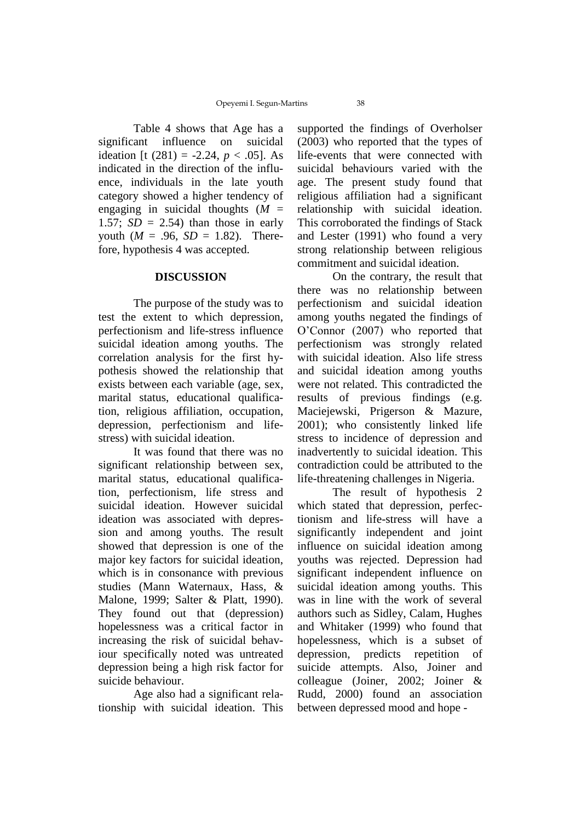Table 4 shows that Age has a significant influence on suicidal ideation [t (281) = -2.24,  $p < .05$ ]. As indicated in the direction of the influence, individuals in the late youth category showed a higher tendency of engaging in suicidal thoughts  $(M =$ 1.57;  $SD = 2.54$ ) than those in early youth  $(M = .96, SD = 1.82)$ . Therefore, hypothesis 4 was accepted.

#### **DISCUSSION**

The purpose of the study was to test the extent to which depression, perfectionism and life-stress influence suicidal ideation among youths. The correlation analysis for the first hypothesis showed the relationship that exists between each variable (age, sex, marital status, educational qualification, religious affiliation, occupation, depression, perfectionism and lifestress) with suicidal ideation.

It was found that there was no significant relationship between sex, marital status, educational qualification, perfectionism, life stress and suicidal ideation. However suicidal ideation was associated with depression and among youths. The result showed that depression is one of the major key factors for suicidal ideation, which is in consonance with previous studies (Mann Waternaux, Hass, & Malone, 1999; Salter & Platt, 1990). They found out that (depression) hopelessness was a critical factor in increasing the risk of suicidal behaviour specifically noted was untreated depression being a high risk factor for suicide behaviour.

Age also had a significant relationship with suicidal ideation. This supported the findings of Overholser (2003) who reported that the types of life-events that were connected with suicidal behaviours varied with the age. The present study found that religious affiliation had a significant relationship with suicidal ideation. This corroborated the findings of Stack and Lester (1991) who found a very strong relationship between religious commitment and suicidal ideation.

On the contrary, the result that there was no relationship between perfectionism and suicidal ideation among youths negated the findings of O'Connor (2007) who reported that perfectionism was strongly related with suicidal ideation. Also life stress and suicidal ideation among youths were not related. This contradicted the results of previous findings (e.g. Maciejewski, Prigerson & Mazure, 2001); who consistently linked life stress to incidence of depression and inadvertently to suicidal ideation. This contradiction could be attributed to the life-threatening challenges in Nigeria.

The result of hypothesis 2 which stated that depression, perfectionism and life-stress will have a significantly independent and joint influence on suicidal ideation among youths was rejected. Depression had significant independent influence on suicidal ideation among youths. This was in line with the work of several authors such as Sidley, Calam, Hughes and Whitaker (1999) who found that hopelessness, which is a subset of depression, predicts repetition of suicide attempts. Also, Joiner and colleague (Joiner, 2002; Joiner & Rudd, 2000) found an association between depressed mood and hope -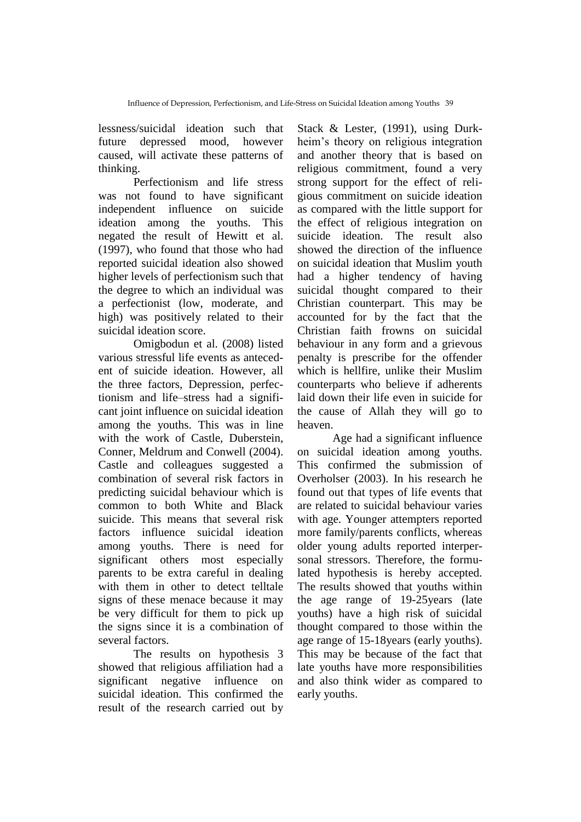lessness/suicidal ideation such that future depressed mood, however caused, will activate these patterns of thinking.

Perfectionism and life stress was not found to have significant independent influence on suicide ideation among the youths. This negated the result of Hewitt et al. (1997), who found that those who had reported suicidal ideation also showed higher levels of perfectionism such that the degree to which an individual was a perfectionist (low, moderate, and high) was positively related to their suicidal ideation score.

Omigbodun et al. (2008) listed various stressful life events as antecedent of suicide ideation. However, all the three factors, Depression, perfectionism and life–stress had a significant joint influence on suicidal ideation among the youths. This was in line with the work of Castle, Duberstein, Conner, Meldrum and Conwell (2004). Castle and colleagues suggested a combination of several risk factors in predicting suicidal behaviour which is common to both White and Black suicide. This means that several risk factors influence suicidal ideation among youths. There is need for significant others most especially parents to be extra careful in dealing with them in other to detect telltale signs of these menace because it may be very difficult for them to pick up the signs since it is a combination of several factors.

The results on hypothesis 3 showed that religious affiliation had a significant negative influence on suicidal ideation. This confirmed the result of the research carried out by

Stack & Lester, (1991), using Durkheim's theory on religious integration and another theory that is based on religious commitment, found a very strong support for the effect of religious commitment on suicide ideation as compared with the little support for the effect of religious integration on suicide ideation. The result also showed the direction of the influence on suicidal ideation that Muslim youth had a higher tendency of having suicidal thought compared to their Christian counterpart. This may be accounted for by the fact that the Christian faith frowns on suicidal behaviour in any form and a grievous penalty is prescribe for the offender which is hellfire, unlike their Muslim counterparts who believe if adherents laid down their life even in suicide for the cause of Allah they will go to heaven.

Age had a significant influence on suicidal ideation among youths. This confirmed the submission of Overholser (2003). In his research he found out that types of life events that are related to suicidal behaviour varies with age. Younger attempters reported more family/parents conflicts, whereas older young adults reported interpersonal stressors. Therefore, the formulated hypothesis is hereby accepted. The results showed that youths within the age range of 19-25years (late youths) have a high risk of suicidal thought compared to those within the age range of 15-18years (early youths). This may be because of the fact that late youths have more responsibilities and also think wider as compared to early youths.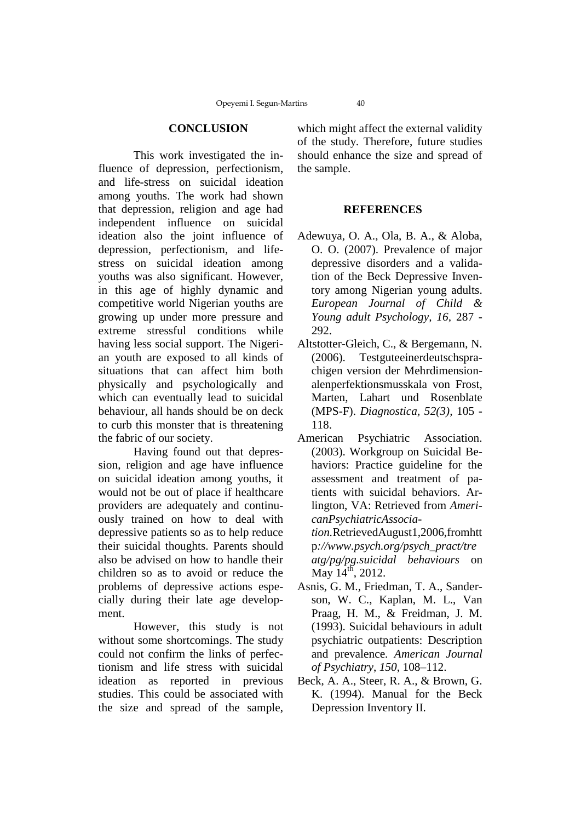#### **CONCLUSION**

This work investigated the influence of depression, perfectionism, and life-stress on suicidal ideation among youths. The work had shown that depression, religion and age had independent influence on suicidal ideation also the joint influence of depression, perfectionism, and lifestress on suicidal ideation among youths was also significant. However, in this age of highly dynamic and competitive world Nigerian youths are growing up under more pressure and extreme stressful conditions while having less social support. The Nigerian youth are exposed to all kinds of situations that can affect him both physically and psychologically and which can eventually lead to suicidal behaviour, all hands should be on deck to curb this monster that is threatening the fabric of our society.

Having found out that depression, religion and age have influence on suicidal ideation among youths, it would not be out of place if healthcare providers are adequately and continuously trained on how to deal with depressive patients so as to help reduce their suicidal thoughts. Parents should also be advised on how to handle their children so as to avoid or reduce the problems of depressive actions especially during their late age development.

However, this study is not without some shortcomings. The study could not confirm the links of perfectionism and life stress with suicidal ideation as reported in previous studies. This could be associated with the size and spread of the sample,

which might affect the external validity of the study. Therefore, future studies should enhance the size and spread of the sample.

#### **REFERENCES**

- Adewuya, O. A., Ola, B. A., & Aloba, O. O. (2007). Prevalence of major depressive disorders and a validation of the Beck Depressive Inventory among Nigerian young adults. *European Journal of Child & Young adult Psychology, 16,* 287 - 292.
- Altstotter-Gleich, C., & Bergemann, N. (2006). Testguteeinerdeutschsprachigen version der Mehrdimensionalenperfektionsmusskala von Frost, Marten, Lahart und Rosenblate (MPS-F). *Diagnostica, 52(3),* 105 - 118.
- American Psychiatric Association. (2003). Workgroup on Suicidal Behaviors: Practice guideline for the assessment and treatment of patients with suicidal behaviors. Arlington, VA: Retrieved from *AmericanPsychiatricAssociation.*RetrievedAugust1,2006,fromhtt p*://www.psych.org/psych\_pract/tre atg/pg/pg.suicidal behaviours* on May  $14^{th}$ , 2012.
- Asnis, G. M., Friedman, T. A., Sanderson, W. C., Kaplan, M. L., Van Praag, H. M., & Freidman, J. M. (1993). Suicidal behaviours in adult psychiatric outpatients: Description and prevalence. *American Journal of Psychiatry*, *150*, 108–112.
- Beck, A. A., Steer, R. A., & Brown, G. K. (1994). Manual for the Beck Depression Inventory II.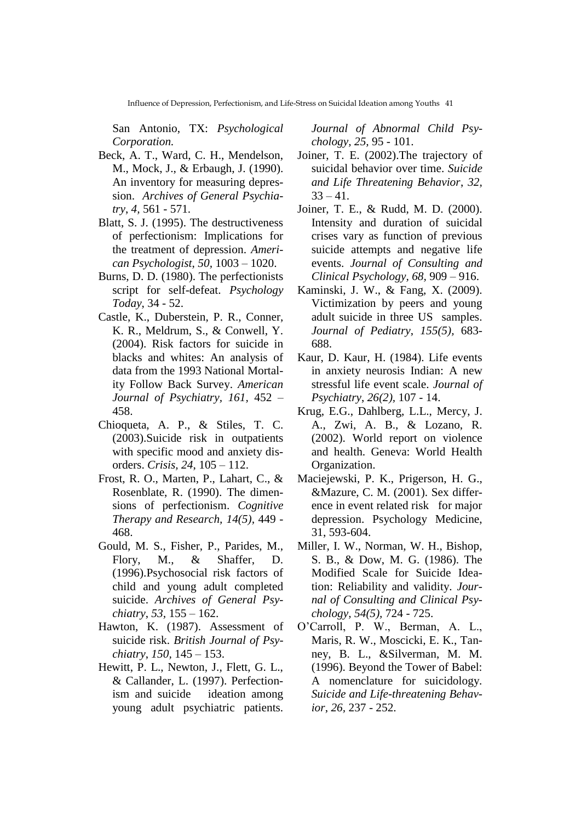San Antonio, TX: *Psychological Corporation.*

- Beck, A. T., Ward, C. H., Mendelson, M., Mock, J., & Erbaugh, J. (1990). An inventory for measuring depression. *Archives of General Psychiatry*, *4,* 561 - 571.
- Blatt, S. J. (1995). The destructiveness of perfectionism: Implications for the treatment of depression. *American Psychologist*, *50,* 1003 – 1020.
- Burns, D. D. (1980). The perfectionists script for self-defeat. *Psychology Today*, 34 - 52.
- Castle, K., Duberstein, P. R., Conner, K. R., Meldrum, S., & Conwell, Y. (2004). Risk factors for suicide in blacks and whites: An analysis of data from the 1993 National Mortality Follow Back Survey. *American Journal of Psychiatry, 161,* 452 – 458.
- Chioqueta, A. P., & Stiles, T. C. (2003).Suicide risk in outpatients with specific mood and anxiety disorders. *Crisis, 24*, 105 – 112.
- Frost, R. O., Marten, P., Lahart, C., & Rosenblate, R. (1990). The dimensions of perfectionism. *Cognitive Therapy and Research, 14(5),* 449 - 468.
- Gould, M. S., Fisher, P., Parides, M., Flory, M., & Shaffer, D. (1996).Psychosocial risk factors of child and young adult completed suicide. *Archives of General Psychiatry*, *53,* 155 – 162.
- Hawton, K. (1987). Assessment of suicide risk. *British Journal of Psychiatry*, *150,* 145 – 153.
- Hewitt, P. L., Newton, J., Flett, G. L., & Callander, L. (1997). Perfectionism and suicide ideation among young adult psychiatric patients*.*

*Journal of Abnormal Child Psychology, 25,* 95 - 101.

- Joiner, T. E. (2002).The trajectory of suicidal behavior over time. *Suicide and Life Threatening Behavior*, *32,*  $33 - 41$ .
- Joiner, T. E., & Rudd, M. D. (2000). Intensity and duration of suicidal crises vary as function of previous suicide attempts and negative life events. *Journal of Consulting and Clinical Psychology, 68,* 909 – 916.
- Kaminski, J. W., & Fang, X. (2009). Victimization by peers and young adult suicide in three US samples. *Journal of Pediatry*, *155(5),* 683- 688.
- Kaur, D. Kaur, H. (1984). Life events in anxiety neurosis Indian: A new stressful life event scale. *Journal of Psychiatry*, *26(2),* 107 - 14.
- Krug, E.G., Dahlberg, L.L., Mercy, J. A., Zwi, A. B., & Lozano, R. (2002). World report on violence and health. Geneva: World Health Organization.
- Maciejewski, P. K., Prigerson, H. G., &Mazure, C. M. (2001). Sex difference in event related risk for major depression. Psychology Medicine, 31, 593-604.
- Miller, I. W., Norman, W. H., Bishop, S. B., & Dow, M. G. (1986). The Modified Scale for Suicide Ideation: Reliability and validity. *Journal of Consulting and Clinical Psychology, 54(5),* 724 - 725.
- O'Carroll, P. W., Berman, A. L., Maris, R. W., Moscicki, E. K., Tanney, B. L., &Silverman, M. M. (1996). Beyond the Tower of Babel: A nomenclature for suicidology*. Suicide and Life-threatening Behavior*, *26,* 237 - 252.